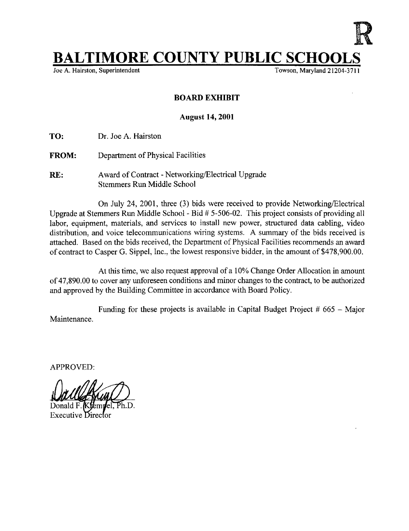## **BALTIMORE COUNTY PUBLIC SCHOOL**<br>Joe A. Hairston, Superintendent

Joe A. Hairston, Superintendent

## BOARD EXHIBIT

## August 14, 2001

TO: Dr. Joe A. Hairston

- FROM: Department of Physical Facilities
- RE: Award of Contract Networking/Electrical Upgrade Stemmers Run Middle School

On July 24, 2001, three (3) bids were received to provide Networking/Electrical Upgrade at Stemmers Run Middle School - Bid # 5-506-02. This project consists of providing all labor, equipment, materials, and services to install new power, structured data cabling, video distribution, and voice telecommunications wiring systems. A summary of the bids received is attached. Based on the bids received, the Department of Physical Facilities recommends an award of contract to Casper G. Sippel, Inc., the lowest responsive bidder, in the amount of \$478,900.00 .

At this time, we also request approval of a 10% Change Order Allocation in amount of 47,890.00 to cover any unforeseen conditions and minor changes to the contract, to be authorized and approved by the Building Committee in accordance with Board Policy.

Maintenance . Funding for these projects is available in Capital Budget Project  $#665 - \text{Major}$ 

APPROVED: